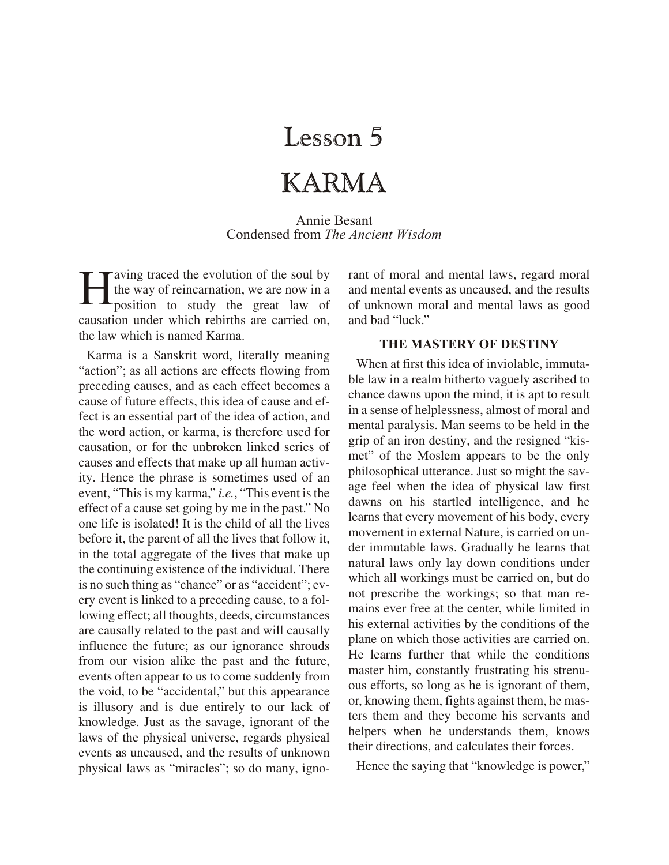# Lesson 5

# KARMA

Annie Besant Con densed from *The Ancient Wisdom*

H raving traced the evolution of the soul by the way of reincarnation, we are now in a position to study the great law of causation under which rebirths are carried on, the law which is named Karma.

Karma is a Sanskrit word, literally meaning "action"; as all actions are effects flowing from preceding causes, and as each effect becomes a cause of future effects, this idea of cause and effect is an essential part of the idea of action, and the word action, or karma, is therefore used for causation, or for the unbroken linked series of causes and effects that make up all human activity. Hence the phrase is sometimes used of an event, "This is my karma," *i.e.*, "This event is the effect of a cause set going by me in the past." No one life is isolated! It is the child of all the lives before it, the parent of all the lives that follow it, in the total aggregate of the lives that make up the continuing existence of the individual. There is no such thing as "chance" or as "accident"; every event is linked to a preceding cause, to a following effect; all thoughts, deeds, circum stances are causally related to the past and will causally in fluence the future; as our ignorance shrouds from our vision alike the past and the future, events often appear to us to come suddenly from the void, to be "accidental," but this appearance is illusory and is due entirely to our lack of knowledge. Just as the savage, ignorant of the laws of the physical universe, regards physical events as uncaused, and the results of unknown physical laws as "miracles"; so do many, ignorant of moral and mental laws, regard moral and mental events as uncaused, and the results of unknown moral and mental laws as good and bad "luck."

#### **THE MASTERY OF DESTINY**

When at first this idea of inviolable, immutable law in a realm hitherto vaguely ascribed to chance dawns upon the mind, it is apt to result in a sense of helplessness, almost of moral and mental paralysis. Man seems to be held in the grip of an iron destiny, and the resigned "kismet" of the Moslem appears to be the only philosophical utterance. Just so might the savage feel when the idea of physical law first dawns on his startled intelligence, and he learns that every movement of his body, every movement in external Nature, is carried on under immutable laws. Gradually he learns that natural laws only lay down conditions under which all workings must be carried on, but do not prescribe the workings; so that man remains ever free at the center, while limited in his external activities by the conditions of the plane on which those activities are carried on. He learns further that while the conditions master him, constantly frustrating his strenuous efforts, so long as he is ignorant of them, or, knowing them, fights against them, he masters them and they become his servants and helpers when he understands them, knows their directions, and calculates their forces.

Hence the saying that "knowledge is power,"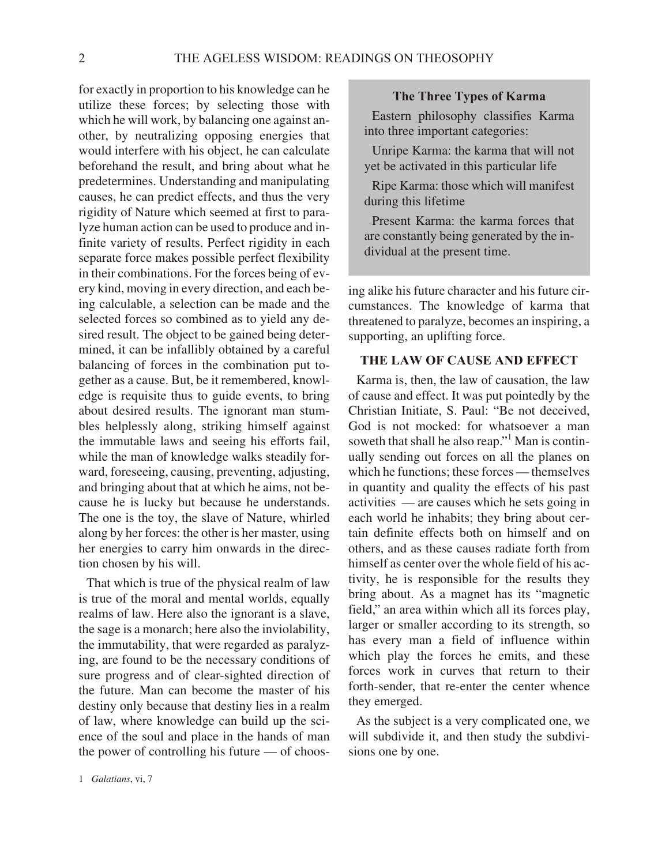for exactly in proportion to his knowledge can he utilize these forces; by selecting those with which he will work, by balancing one against another, by neutralizing opposing energies that would interfere with his object, he can calculate beforehand the result, and bring about what he predetermines. Understanding and manipulating causes, he can predict effects, and thus the very rigidity of Nature which seemed at first to paralyze human action can be used to produce and infinite variety of results. Perfect rigidity in each separate force makes possible perfect flexibility in their combinations. For the forces being of every kind, moving in every direction, and each being calculable, a selection can be made and the selected forces so combined as to yield any desired result. The object to be gained being determined, it can be infallibly obtained by a careful balancing of forces in the combination put together as a cause. But, be it remembered, knowledge is requisite thus to guide events, to bring about desired results. The ignorant man stumbles helplessly along, striking himself against the immutable laws and seeing his efforts fail, while the man of knowledge walks steadily forward, foreseeing, causing, preventing, adjusting, and bringing about that at which he aims, not because he is lucky but because he understands. The one is the toy, the slave of Nature, whirled along by her forces: the other is her master, using her energies to carry him onwards in the direction chosen by his will.

That which is true of the physical realm of law is true of the moral and mental worlds, equally realms of law. Here also the ignorant is a slave, the sage is a monarch; here also the inviolability, the immutability, that were regarded as paralyzing, are found to be the necessary conditions of sure progress and of clear-sighted direction of the future. Man can become the master of his destiny only because that destiny lies in a realm of law, where knowledge can build up the science of the soul and place in the hands of man the power of controlling his future  $-$  of choos-

#### **The Three Types of Karma**

Eastern philosophy classifies Karma into three important categories:

Unripe Karma: the karma that will not yet be activated in this particular life

Ripe Karma: those which will manifest during this life time

Present Karma: the karma forces that are constantly being generated by the individual at the present time.

ing alike his future character and his future circum stances. The knowledge of karma that threatened to paralyze, becomes an inspiring, a supporting, an uplifting force.

#### **THE LAW OF CAUSE AND EFFECT**

Karma is, then, the law of causation, the law of cause and effect. It was put pointedly by the Christian Initiate, S. Paul: "Be not deceived, God is not mocked: for whatsoever a man soweth that shall he also reap."<sup>1</sup> Man is continually sending out forces on all the planes on which he functions; these forces — themselves in quantity and quality the effects of his past  $\arctivities$  — are causes which he sets going in each world he inhabits; they bring about certain definite effects both on himself and on others, and as these causes radiate forth from himself as center over the whole field of his activity, he is responsible for the results they bring about. As a magnet has its "magnetic field," an area within which all its forces play, larger or smaller according to its strength, so has every man a field of influence within which play the forces he emits, and these forces work in curves that return to their forth-sender, that re-enter the center whence they emerged.

As the subject is a very complicated one, we will subdivide it, and then study the subdivisions one by one.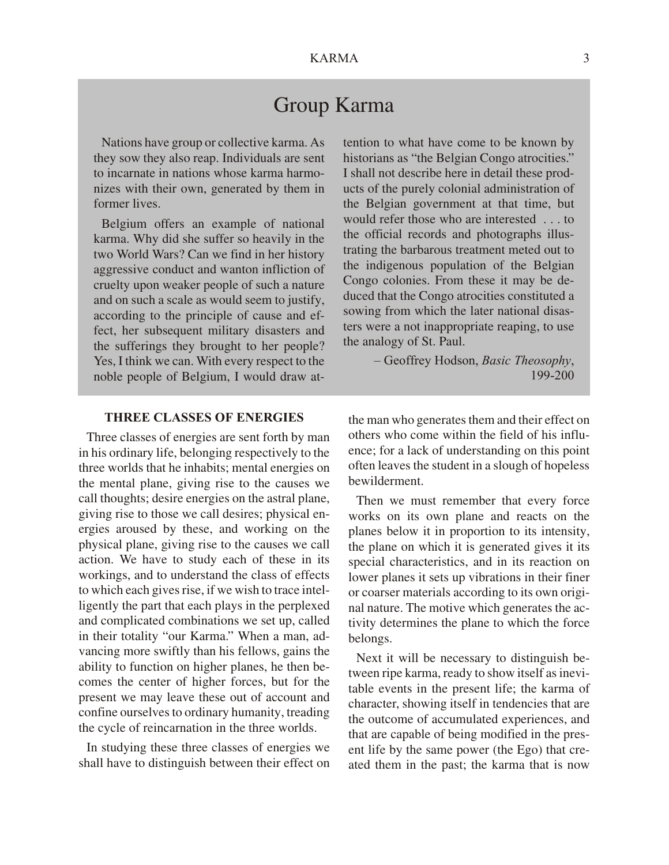### Group Karma

Nations have group or collective karma. As they sow they also reap. Individuals are sent to incarnate in nations whose karma harmonizes with their own, generated by them in former lives.

Belgium offers an example of national karma. Why did she suffer so heavily in the two World Wars? Can we find in her history aggressive conduct and wanton infliction of cruelty upon weaker people of such a nature and on such a scale as would seem to justify, according to the principle of cause and effect, her subsequent military disasters and the sufferings they brought to her people? Yes, I think we can. With every respect to the noble people of Belgium, I would draw at-

#### **THREE CLASSES OF ENERGIES**

Three classes of energies are sent forth by man in his ordinary life, belonging respectively to the three worlds that he inhabits; mental energies on the mental plane, giving rise to the causes we call thoughts; desire energies on the astral plane, giving rise to those we call desires; physical energies aroused by these, and working on the physical plane, giving rise to the causes we call action. We have to study each of these in its workings, and to understand the class of effects to which each gives rise, if we wish to trace intelligently the part that each plays in the perplexed and complicated combinations we set up, called in their totality "our Karma." When a man, advancing more swiftly than his fellows, gains the ability to function on higher planes, he then becomes the center of higher forces, but for the present we may leave these out of account and confine ourselves to ordinary humanity, treading the cycle of reincarnation in the three worlds.

In studying these three classes of energies we shall have to distinguish between their effect on

tention to what have come to be known by historians as "the Belgian Congo atrocities." I shall not describe here in detail these products of the purely colonial administration of the Belgian government at that time, but would refer those who are interested . . . to the official records and photographs illustrating the barbarous treatment meted out to the indigenous population of the Belgian Congo colonies. From these it may be deduced that the Congo atrocities constituted a sowing from which the later national disasters were a not in appropriate reaping, to use the analogy of St. Paul.

> – Geoffrey Hodson, *Ba sic The os o phy*, 199-200

the man who generates them and their effect on others who come within the field of his influence; for a lack of understanding on this point often leaves the student in a slough of hopeless be wilderment.

Then we must remember that every force works on its own plane and reacts on the planes below it in proportion to its intensity, the plane on which it is generated gives it its special characteristics, and in its reaction on lower planes it sets up vibrations in their finer or coarser materials according to its own original nature. The motive which generates the activity determines the plane to which the force belongs.

Next it will be necessary to distinguish between ripe karma, ready to show itself as inevitable events in the present life; the karma of character, showing itself in tendencies that are the outcome of accumulated experiences, and that are capable of being modified in the present life by the same power (the Ego) that created them in the past; the karma that is now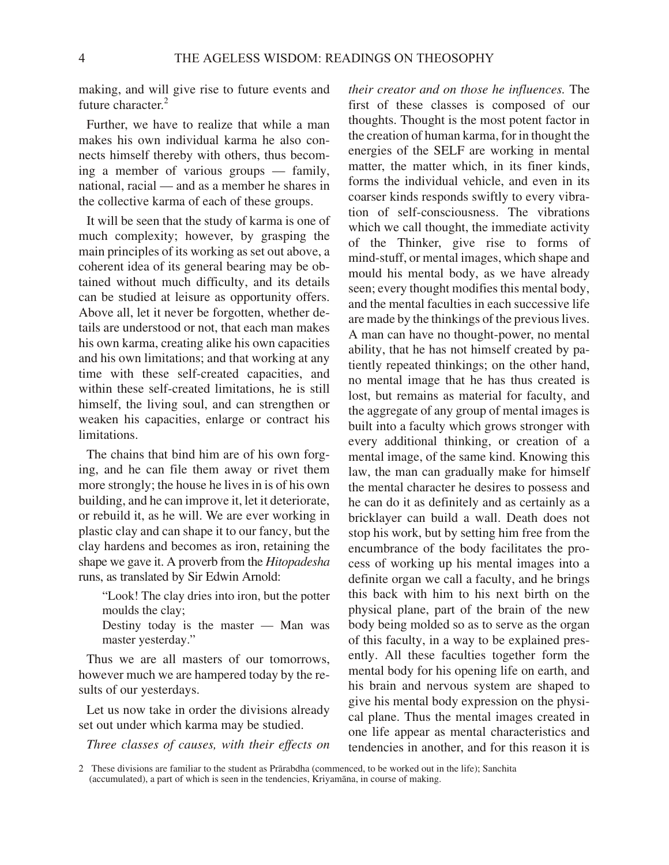making, and will give rise to future events and future character.<sup>2</sup>

Further, we have to realize that while a man makes his own individual karma he also connects himself thereby with others, thus becoming a member of various groups  $-$  family, national, racial — and as a member he shares in the collective karma of each of these groups.

It will be seen that the study of karma is one of much complexity; however, by grasping the main principles of its working as set out above, a coherent idea of its general bearing may be obtained without much difficulty, and its details can be studied at leisure as opportunity offers. Above all, let it never be forgotten, whether details are understood or not, that each man makes his own karma, creating alike his own capacities and his own limitations; and that working at any time with these self-created capacities, and within these self-created limitations, he is still himself, the living soul, and can strengthen or weaken his capacities, enlarge or contract his limitations.

The chains that bind him are of his own forging, and he can file them away or rivet them more strongly; the house he lives in is of his own building, and he can improve it, let it deteriorate, or rebuild it, as he will. We are ever working in plastic clay and can shape it to our fancy, but the clay hardens and becomes as iron, retaining the shape we gave it. A proverb from the *Hitopadesha* runs, as translated by Sir Edwin Arnold:

"Look! The clay dries into iron, but the potter moulds the clay;

Destiny today is the master  $-$  Man was master yesterday."

Thus we are all masters of our tomorrows, however much we are hampered today by the results of our yesterdays.

Let us now take in order the divisions already set out under which karma may be studied.

*Three classes of causes, with their effects on*

*their creator and on those he influences.* The first of these classes is composed of our thoughts. Thought is the most potent factor in the creation of human karma, for in thought the energies of the SELF are working in mental matter, the matter which, in its finer kinds, forms the individual vehicle, and even in its coarser kinds responds swiftly to every vibration of self-consciousness. The vibrations which we call thought, the immediate activity of the Thinker, give rise to forms of mind-stuff, or mental images, which shape and mould his mental body, as we have already seen; every thought modifies this mental body, and the mental faculties in each successive life are made by the thinkings of the previous lives. A man can have no thought-power, no mental ability, that he has not himself created by patiently repeated thinkings; on the other hand, no mental image that he has thus created is lost, but remains as material for faculty, and the aggregate of any group of mental images is built into a faculty which grows stronger with every additional thinking, or creation of a mental image, of the same kind. Knowing this law, the man can gradually make for himself the mental character he desires to possess and he can do it as definitely and as certainly as a brick layer can build a wall. Death does not stop his work, but by setting him free from the encumbrance of the body facilitates the process of working up his mental images into a definite organ we call a faculty, and he brings this back with him to his next birth on the physical plane, part of the brain of the new body being molded so as to serve as the organ of this faculty, in a way to be explained presently. All these faculties together form the mental body for his opening life on earth, and his brain and nervous system are shaped to give his mental body expression on the physical plane. Thus the mental images created in one life appear as mental characteristics and tendencies in another, and for this reason it is

<sup>2</sup> These divisions are familiar to the student as Prārabdha (commenced, to be worked out in the life); Sanchita (accumulated), a part of which is seen in the tendencies, Kriyam€na, in course of making.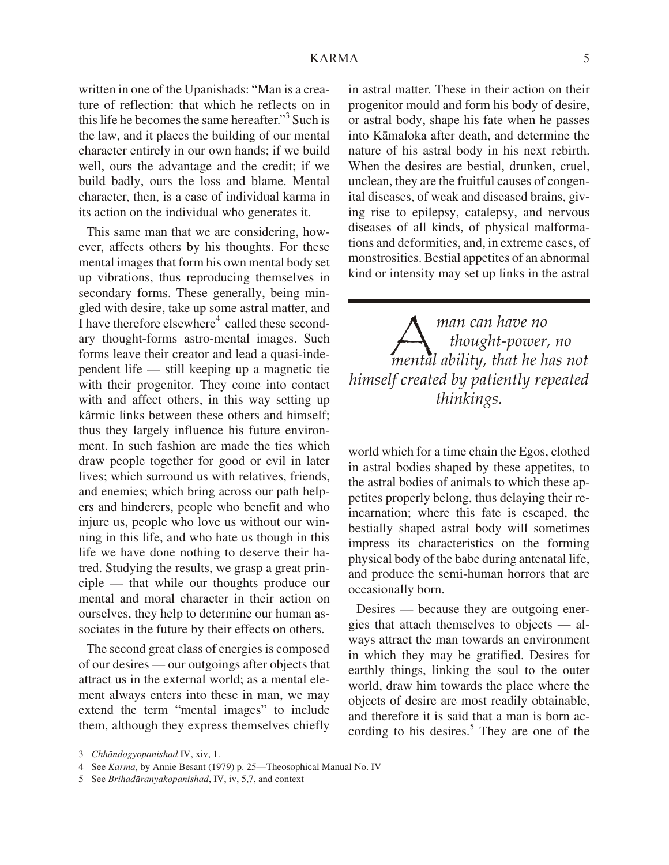written in one of the Upanishads: "Man is a creature of reflection: that which he reflects on in this life he becomes the same hereafter."<sup>3</sup> Such is the law, and it places the building of our mental character entirely in our own hands; if we build well, ours the advantage and the credit; if we build badly, ours the loss and blame. Mental character, then, is a case of individual karma in its action on the individual who generates it.

This same man that we are considering, however, affects others by his thoughts. For these mental images that form his own mental body set up vibrations, thus reproducing themselves in secondary forms. These generally, being mingled with desire, take up some astral matter, and I have therefore elsewhere<sup>4</sup> called these secondary thought-forms astro-mental images. Such forms leave their creator and lead a quasi-independent life — still keeping up a magnetic tie with their progenitor. They come into contact with and affect others, in this way setting up kârmic links between these others and himself; thus they largely influence his future environment. In such fashion are made the ties which draw people together for good or evil in later lives; which surround us with relatives, friends, and enemies; which bring across our path helpers and hinderers, people who benefit and who injure us, people who love us without our winning in this life, and who hate us though in this life we have done nothing to deserve their hatred. Studying the results, we grasp a great prin $ciple$  — that while our thoughts produce our mental and moral character in their action on ourselves, they help to determine our human associates in the future by their effects on others.

The second great class of energies is composed of our desires — our outgoings after objects that attract us in the external world; as a mental element always enters into these in man, we may extend the term "mental images" to include them, although they express themselves chiefly in astral matter. These in their action on their progenitor mould and form his body of desire, or astral body, shape his fate when he passes into Kāmaloka after death, and determine the nature of his astral body in his next rebirth. When the desires are bestial, drunken, cruel, unclean, they are the fruit ful causes of congenital diseases, of weak and diseased brains, giving rise to epilepsy, catalepsy, and nervous diseases of all kinds, of physical malformations and deformities, and, in extreme cases, of monstrosities. Bestial appetites of an abnormal kind or intensity may set up links in the astral

A *men tal abil ity, that he has not man can have no thought-power, no him self cre ated by patiently re peated thinkings.*

world which for a time chain the Egos, clothed in astral bodies shaped by these appetites, to the astral bodies of animals to which these appetites properly belong, thus delaying their reincarnation; where this fate is escaped, the bestially shaped astral body will sometimes impress its characteristics on the forming physical body of the babe during antenatal life, and produce the semi-human horrors that are occasionally born.

Desires — because they are outgoing energies that attach themselves to objects  $-$  always attract the man towards an environment in which they may be gratified. Desires for earthly things, linking the soul to the outer world, draw him towards the place where the objects of desire are most readily obtainable, and therefore it is said that a man is born according to his desires.<sup>5</sup> They are one of the

<sup>3</sup> Chhāndogyopanishad IV, xiv, 1.

<sup>4</sup> See *Karma*, by Annie Besant (1979) p. 25—Theosophical Manual No. IV

<sup>5</sup> See *Brihadāranyakopanishad*, IV, iv, 5,7, and context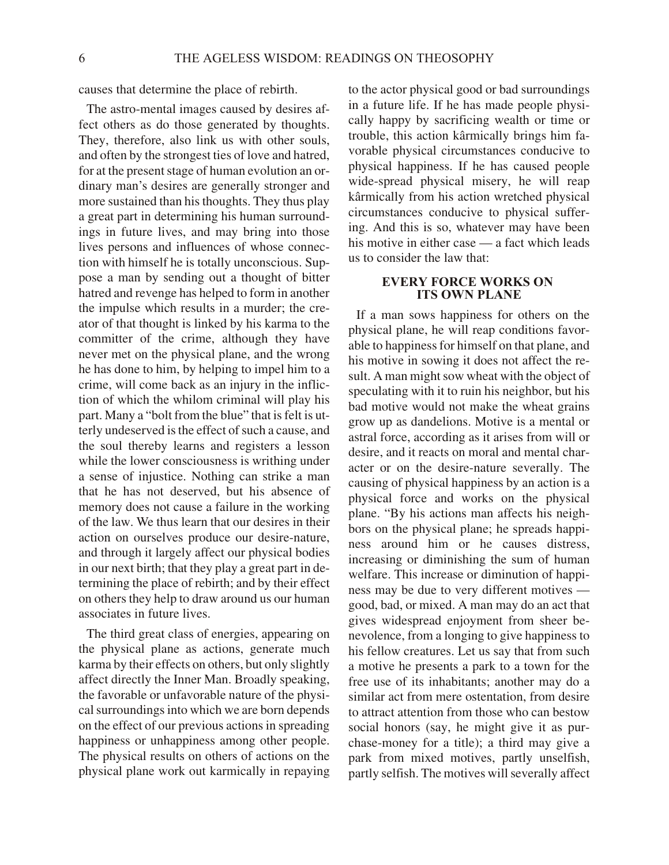causes that determine the place of rebirth.

The astro-mental images caused by desires affect others as do those generated by thoughts. They, therefore, also link us with other souls, and often by the strongest ties of love and hatred, for at the present stage of human evolution an ordinary man's desires are generally stronger and more sustained than his thoughts. They thus play a great part in determining his human surroundings in future lives, and may bring into those lives persons and influences of whose connection with himself he is totally unconscious. Suppose a man by sending out a thought of bitter hatred and revenge has helped to form in another the impulse which results in a murder; the creator of that thought is linked by his karma to the committer of the crime, although they have never met on the physical plane, and the wrong he has done to him, by helping to impel him to a crime, will come back as an injury in the infliction of which the whilom criminal will play his part. Many a "bolt from the blue" that is felt is utterly undeserved is the effect of such a cause, and the soul thereby learns and registers a lesson while the lower consciousness is writhing under a sense of injustice. Nothing can strike a man that he has not deserved, but his absence of memory does not cause a failure in the working of the law. We thus learn that our desires in their action on ourselves produce our desire-nature, and through it largely affect our physical bodies in our next birth; that they play a great part in determining the place of rebirth; and by their effect on others they help to draw around us our human associates in future lives.

The third great class of energies, appearing on the physical plane as actions, generate much karma by their effects on others, but only slightly affect directly the Inner Man. Broadly speaking, the favorable or unfavorable nature of the physical surroundings into which we are born depends on the effect of our previous actions in spreading happiness or unhappiness among other people. The physical results on others of actions on the physical plane work out karmically in repaying

to the actor physical good or bad surroundings in a future life. If he has made people physically happy by sacrificing wealth or time or trouble, this action kârmically brings him favorable physical circumstances conducive to physical happiness. If he has caused people wide-spread physical misery, he will reap kârmically from his action wretched physical circum stances conducive to physical suffering. And this is so, whatever may have been his motive in either case  $\frac{1}{x}$  a fact which leads us to consider the law that:

#### **EVERY FORCE WORKS ON ITS OWN PLANE**

If a man sows happiness for others on the physical plane, he will reap conditions favorable to happiness for himself on that plane, and his motive in sowing it does not affect the result. A man might sow wheat with the object of speculating with it to ruin his neighbor, but his bad motive would not make the wheat grains grow up as dandelions. Motive is a mental or astral force, according as it arises from will or desire, and it reacts on moral and mental character or on the desire-nature severally. The causing of physical happiness by an action is a physical force and works on the physical plane. "By his actions man affects his neighbors on the physical plane; he spreads happiness around him or he causes distress, increasing or diminishing the sum of human welfare. This increase or diminution of happiness may be due to very different motives good, bad, or mixed. A man may do an act that gives widespread enjoyment from sheer benevolence, from a longing to give happiness to his fellow creatures. Let us say that from such a motive he presents a park to a town for the free use of its inhabitants; another may do a similar act from mere ostentation, from desire to attract attention from those who can bestow social honors (say, he might give it as purchase-money for a title); a third may give a park from mixed motives, partly unselfish, partly selfish. The motives will severally affect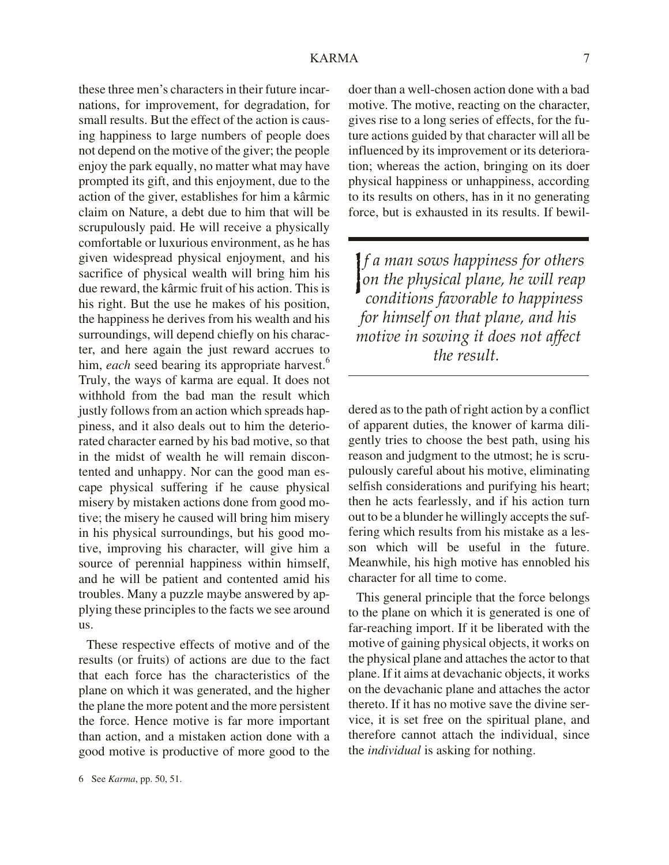these three men's characters in their future incarnations, for improvement, for degradation, for small results. But the effect of the action is causing happiness to large numbers of people does not depend on the motive of the giver; the people enjoy the park equally, no matter what may have prompted its gift, and this enjoyment, due to the action of the giver, establishes for him a kârmic claim on Nature, a debt due to him that will be scrupulously paid. He will receive a physically comfortable or luxurious environment, as he has given widespread physical enjoyment, and his sacrifice of physical wealth will bring him his due reward, the kârmic fruit of his action. This is his right. But the use he makes of his position, the happiness he derives from his wealth and his surroundings, will depend chiefly on his character, and here again the just reward accrues to him, *each* seed bearing its appropriate harvest.<sup>6</sup> Truly, the ways of karma are equal. It does not with hold from the bad man the result which justly follows from an action which spreads happiness, and it also deals out to him the deteriorated character earned by his bad motive, so that in the midst of wealth he will remain discontented and unhappy. Nor can the good man escape physical suffering if he cause physical misery by mistaken actions done from good motive; the misery he caused will bring him misery in his physical surroundings, but his good motive, improving his character, will give him a source of perennial happiness within himself, and he will be patient and contented amid his troubles. Many a puzzle maybe answered by applying these principles to the facts we see around us.

These respective effects of motive and of the results (or fruits) of actions are due to the fact that each force has the characteristics of the plane on which it was generated, and the higher the plane the more potent and the more persistent the force. Hence motive is far more important than action, and a mistaken action done with a good motive is productive of more good to the

doer than a well-chosen action done with a bad motive. The motive, reacting on the character, gives rise to a long series of effects, for the future actions guided by that character will all be in fluenced by its improvement or its deterioration; whereas the action, bringing on its doer physical happiness or unhappiness, according to its results on others, has in it no generating force, but is exhausted in its results. If bewil-

**I** *f a man sows happiness for others on the phys i cal plane, he will reap con di tions fa vor able to hap pi ness for himself on that plane, and his motive in sowing it does not affect the result.* 

dered as to the path of right action by a conflict of apparent duties, the knower of karma diligently tries to choose the best path, using his reason and judgment to the utmost; he is scrupulously careful about his motive, eliminating selfish considerations and purifying his heart; then he acts fearlessly, and if his action turn out to be a blunder he willingly accepts the suffering which results from his mistake as a lesson which will be useful in the future. Meanwhile, his high motive has ennobled his character for all time to come.

This general principle that the force belongs to the plane on which it is generated is one of far-reaching import. If it be liberated with the motive of gaining physical objects, it works on the physical plane and attaches the actor to that plane. If it aims at devachanic objects, it works on the devachanic plane and attaches the actor thereto. If it has no motive save the divine service, it is set free on the spiritual plane, and therefore cannot attach the individual, since the *individual* is asking for nothing.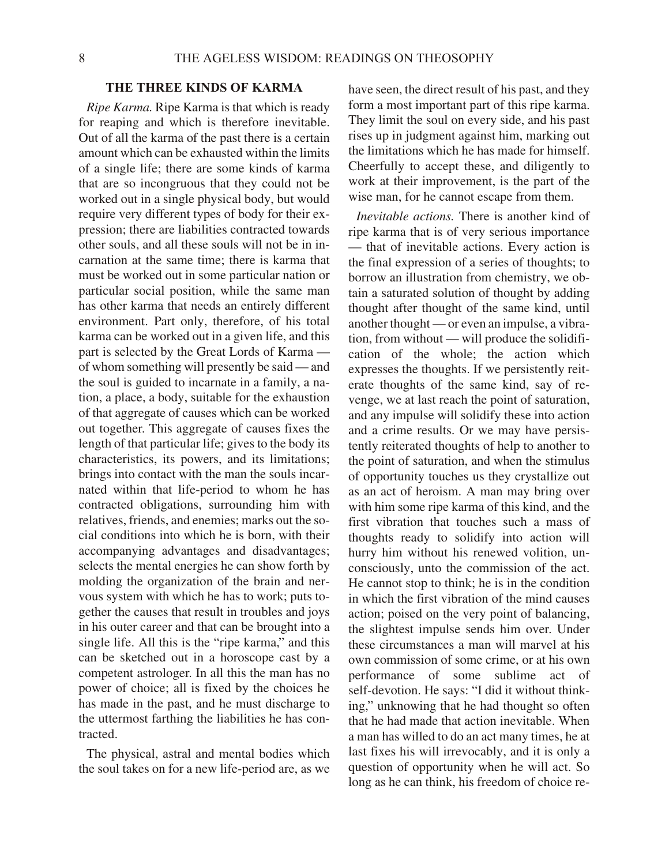#### **THE THREE KINDS OF KARMA**

*Ripe Karma.* Ripe Karma is that which is ready for reaping and which is therefore inevitable. Out of all the karma of the past there is a certain amount which can be ex hausted within the limits of a single life; there are some kinds of karma that are so incongruous that they could not be worked out in a single physical body, but would require very different types of body for their expression; there are liabilities contracted towards other souls, and all these souls will not be in incarnation at the same time; there is karma that must be worked out in some particular nation or particular social position, while the same man has other karma that needs an entirely different environment. Part only, therefore, of his total karma can be worked out in a given life, and this part is selected by the Great Lords of Karma of whom something will presently be said — and the soul is guided to incarnate in a family, a nation, a place, a body, suitable for the exhaustion of that ag gregate of causes which can be worked out together. This aggregate of causes fixes the length of that particular life; gives to the body its characteristics, its powers, and its limitations; brings into contact with the man the souls incarnated within that life-period to whom he has contracted obligations, surrounding him with relatives, friends, and enemies; marks out the social conditions into which he is born, with their accompanying advantages and disadvantages; selects the mental energies he can show forth by molding the organization of the brain and nervous system with which he has to work; puts together the causes that result in troubles and joys in his outer career and that can be brought into a single life. All this is the "ripe karma," and this can be sketched out in a horoscope cast by a competent astrologer. In all this the man has no power of choice; all is fixed by the choices he has made in the past, and he must discharge to the uttermost farthing the liabilities he has contracted.

The physical, astral and mental bodies which the soul takes on for a new life-period are, as we

have seen, the direct result of his past, and they form a most important part of this ripe karma. They limit the soul on every side, and his past rises up in judgment against him, marking out the limitations which he has made for himself. Cheerfully to accept these, and diligently to work at their improvement, is the part of the wise man, for he cannot escape from them.

*Inevitable actions.* There is another kind of ripe karma that is of very serious importance  $-$  that of inevitable actions. Every action is the final expression of a series of thoughts; to borrow an illustration from chemistry, we obtain a saturated solution of thought by adding thought after thought of the same kind, until another thought — or even an impulse, a vibration, from without — will produce the solidification of the whole; the action which expresses the thoughts. If we persistently reiterate thoughts of the same kind, say of revenge, we at last reach the point of saturation, and any impulse will solidify these into action and a crime results. Or we may have persistently reiterated thoughts of help to another to the point of saturation, and when the stimulus of opportunity touches us they crystallize out as an act of heroism. A man may bring over with him some ripe karma of this kind, and the first vibration that touches such a mass of thoughts ready to solidify into action will hurry him without his renewed volition, unconsciously, unto the commission of the act. He cannot stop to think; he is in the condition in which the first vibration of the mind causes action; poised on the very point of balancing, the slightest impulse sends him over. Under these circum stances a man will marvel at his own commission of some crime, or at his own performance of some sublime act of self-devotion. He says: "I did it without thinking," unknowing that he had thought so often that he had made that action inevitable. When a man has willed to do an act many times, he at last fixes his will irrevocably, and it is only a question of opportunity when he will act. So long as he can think, his freedom of choice re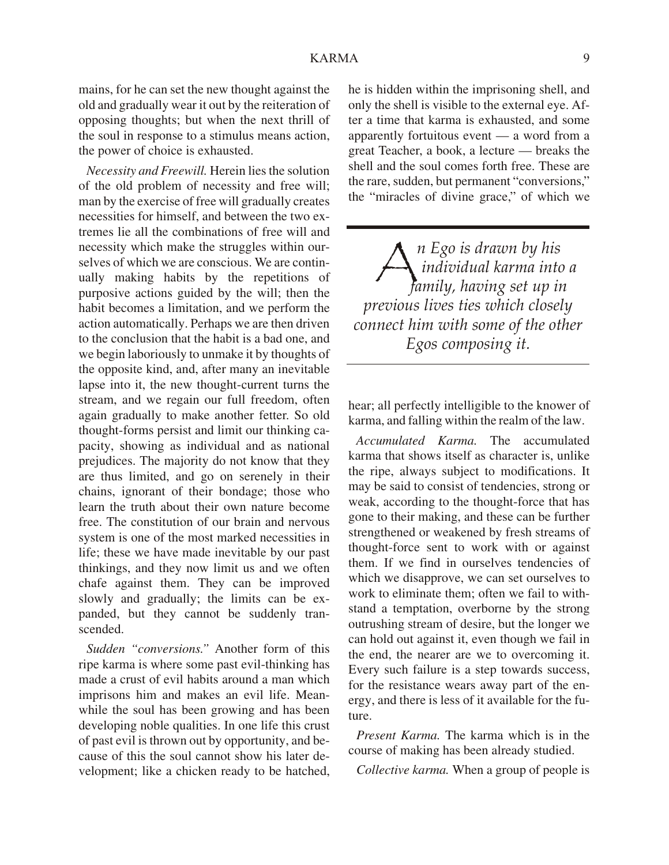mains, for he can set the new thought against the old and gradually wear it out by the reiteration of opposing thoughts; but when the next thrill of the soul in response to a stimulus means action, the power of choice is exhausted.

*Necessity and Freewill.* Herein lies the solution of the old problem of necessity and free will; man by the exercise of free will gradually creates necessities for himself, and between the two extremes lie all the combinations of free will and necessity which make the struggles within ourselves of which we are conscious. We are continu ally making habits by the repetitions of pur posive actions guided by the will; then the habit becomes a limitation, and we perform the action automatically. Perhaps we are then driven to the conclusion that the habit is a bad one, and we begin laboriously to unmake it by thoughts of the opposite kind, and, after many an inevitable lapse into it, the new thought-current turns the stream, and we regain our full freedom, often again gradually to make another fetter. So old thought-forms persist and limit our thinking capacity, showing as individual and as national prejudices. The majority do not know that they are thus limited, and go on serenely in their chains, ignorant of their bondage; those who learn the truth about their own nature become free. The constitution of our brain and nervous system is one of the most marked necessities in life; these we have made inevitable by our past thinkings, and they now limit us and we often chafe against them. They can be improved slowly and gradually; the limits can be expanded, but they cannot be suddenly transcended.

Sudden "conversions." Another form of this ripe karma is where some past evil-thinking has made a crust of evil habits around a man which imprisons him and makes an evil life. Meanwhile the soul has been growing and has been developing noble qualities. In one life this crust of past evil is thrown out by opportunity, and because of this the soul cannot show his later development; like a chicken ready to be hatched, he is hidden within the imprisoning shell, and only the shell is visible to the external eye. After a time that karma is ex hausted, and some apparently fortuitous event — a word from a great Teacher, a book, a lecture — breaks the shell and the soul comes forth free. These are the rare, sudden, but permanent "conversions," the "miracles of divine grace," of which we

A *n Ego is drawn by his in di vid ual karma into a fam ily, hav ing set up in pre vi ous lives ties which closely con nect him with some of the other* Egos composing it.

hear; all perfectly intelligible to the knower of karma, and falling within the realm of the law.

*Accumulated Karma*. The accumulated karma that shows itself as character is, unlike the ripe, always subject to modifications. It may be said to consist of tendencies, strong or weak, according to the thought-force that has gone to their making, and these can be further strengthened or weakened by fresh streams of thought-force sent to work with or against them. If we find in ourselves tendencies of which we disapprove, we can set ourselves to work to eliminate them; often we fail to withstand a temptation, overborne by the strong outrushing stream of desire, but the longer we can hold out against it, even though we fail in the end, the nearer are we to overcoming it. Every such failure is a step towards success, for the resistance wears away part of the energy, and there is less of it available for the future.

*Present Karma.* The karma which is in the course of making has been already studied.

*Collective karma.* When a group of people is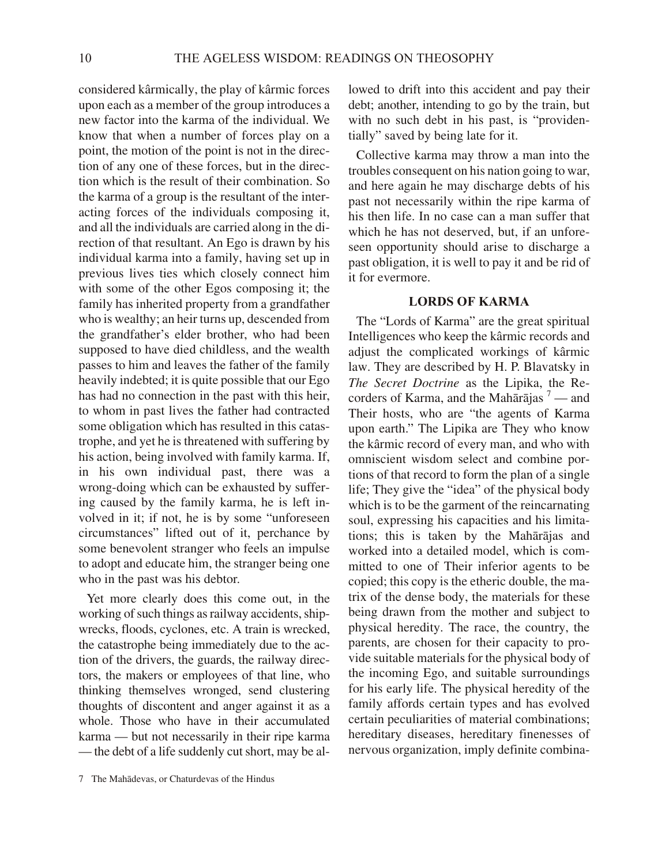considered kârmically, the play of kârmic forces upon each as a member of the group introduces a new factor into the karma of the individual. We know that when a number of forces play on a point, the motion of the point is not in the direction of any one of these forces, but in the direction which is the result of their combination. So the karma of a group is the resultant of the interacting forces of the individuals composing it, and all the individuals are carried along in the direction of that resultant. An Ego is drawn by his individual karma into a family, having set up in previous lives ties which closely connect him with some of the other Egos composing it; the family has inherited property from a grandfather who is wealthy; an heir turns up, descended from the grandfather's elder brother, who had been supposed to have died childless, and the wealth passes to him and leaves the father of the family heavily indebted; it is quite possible that our Ego has had no connection in the past with this heir, to whom in past lives the father had contracted some obligation which has resulted in this catastrophe, and yet he is threatened with suffering by his action, being involved with family karma. If, in his own individual past, there was a wrong-doing which can be exhausted by suffering caused by the family karma, he is left involved in it; if not, he is by some "unforeseen circum stances" lifted out of it, perchance by some benevolent stranger who feels an impulse to adopt and educate him, the stranger being one who in the past was his debtor.

Yet more clearly does this come out, in the working of such things as railway accidents, shipwrecks, floods, cyclones, etc. A train is wrecked, the catastrophe being immediately due to the action of the drivers, the guards, the railway directors, the makers or employees of that line, who thinking themselves wronged, send clustering thoughts of discontent and anger against it as a whole. Those who have in their accumulated karma — but not necessarily in their ripe karma — the debt of a life suddenly cut short, may be allowed to drift into this accident and pay their debt; another, intending to go by the train, but with no such debt in his past, is "providentially" saved by being late for it.

Collective karma may throw a man into the troubles consequent on his nation going to war, and here again he may discharge debts of his past not necessarily within the ripe karma of his then life. In no case can a man suffer that which he has not deserved, but, if an unforeseen opportunity should arise to discharge a past obligation, it is well to pay it and be rid of it for evermore.

#### **LORDS OF KARMA**

The "Lords of Karma" are the great spiritual Intelligences who keep the kârmic records and adjust the complicated workings of kârmic law. They are described by H. P. Blavatsky in *The Secret Doctrine* as the Lipika, the Recorders of Karma, and the Mah $\bar{a}$ rajas  $^7$  — and Their hosts, who are "the agents of Karma upon earth." The Lipika are They who know the kârmic record of every man, and who with omniscient wisdom select and combine portions of that record to form the plan of a single life; They give the "idea" of the physical body which is to be the garment of the reincarnating soul, expressing his capacities and his limitations; this is taken by the Mahārājas and worked into a detailed model, which is committed to one of Their inferior agents to be copied; this copy is the etheric double, the matrix of the dense body, the materials for these being drawn from the mother and subject to physical heredity. The race, the country, the parents, are chosen for their capacity to provide suitable materials for the physical body of the incoming Ego, and suitable surroundings for his early life. The physical heredity of the family affords certain types and has evolved certain peculiarities of material combinations; hered itary diseases, hered itary finenesses of nervous organization, imply definite combina-

<sup>7</sup> The Mahādevas, or Chaturdevas of the Hindus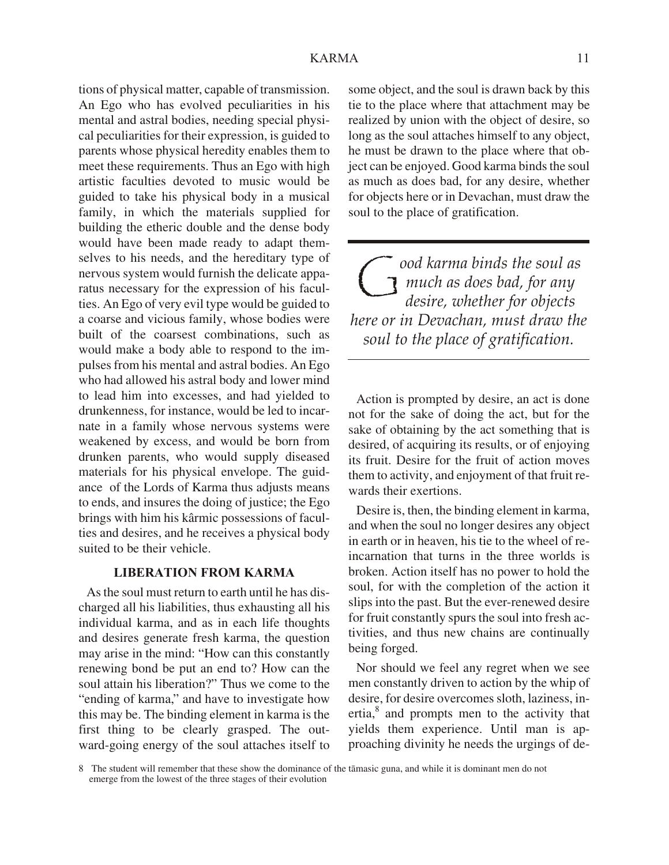tions of physical matter, capable of transmission. An Ego who has evolved peculiarities in his mental and astral bodies, needing special physical peculiarities for their expression, is guided to parents whose physical heredity enables them to meet these requirements. Thus an Ego with high artistic faculties devoted to music would be guided to take his physical body in a musical family, in which the materials supplied for building the etheric double and the dense body would have been made ready to adapt themselves to his needs, and the hereditary type of nervous system would furnish the delicate apparatus necessary for the expression of his faculties. An Ego of very evil type would be guided to a coarse and vicious family, whose bodies were built of the coarsest combinations, such as would make a body able to respond to the impulses from his mental and astral bodies. An Ego who had allowed his astral body and lower mind to lead him into excesses, and had yielded to drunk enness, for instance, would be led to incarnate in a family whose nervous systems were weakened by excess, and would be born from drunken parents, who would supply diseased materials for his physical envelope. The guidance of the Lords of Karma thus adjusts means to ends, and insures the doing of justice; the Ego brings with him his kârmic possessions of faculties and desires, and he receives a physical body suited to be their vehicle.

#### **LIBERATION FROM KARMA**

As the soul must return to earth until he has discharged all his liabilities, thus exhausting all his individual karma, and as in each life thoughts and desires generate fresh karma, the question may arise in the mind: "How can this constantly renewing bond be put an end to? How can the soul attain his liberation?" Thus we come to the "ending of karma," and have to investigate how this may be. The binding element in karma is the first thing to be clearly grasped. The outward-going energy of the soul attaches itself to some object, and the soul is drawn back by this tie to the place where that attachment may be realized by union with the object of desire, so long as the soul attaches himself to any object, he must be drawn to the place where that object can be en joyed. Good karma binds the soul as much as does bad, for any desire, whether for objects here or in Devachan, must draw the soul to the place of gratification.

 $\bigcup$ *ood karma binds the soul as much as does bad, for any de sire, whether for ob jects here or in Devachan, must draw the soul to the place of gratification.* 

Action is prompted by desire, an act is done not for the sake of doing the act, but for the sake of obtaining by the act something that is desired, of acquiring its results, or of enjoying its fruit. Desire for the fruit of action moves them to activity, and enjoyment of that fruit rewards their exertions.

Desire is, then, the binding element in karma, and when the soul no longer desires any object in earth or in heaven, his tie to the wheel of reincarnation that turns in the three worlds is broken. Action itself has no power to hold the soul, for with the completion of the action it slips into the past. But the ever-renewed desire for fruit constantly spurs the soul into fresh ac tivities, and thus new chains are continually being forged.

Nor should we feel any regret when we see men constantly driven to action by the whip of desire, for desire overcomes sloth, laziness, inertia,<sup>8</sup> and prompts men to the activity that yields them experience. Until man is approaching divinity he needs the urgings of de-

<sup>8</sup> The student will remember that these show the dominance of the tāmasic guna, and while it is dominant men do not emerge from the lowest of the three stages of their evolution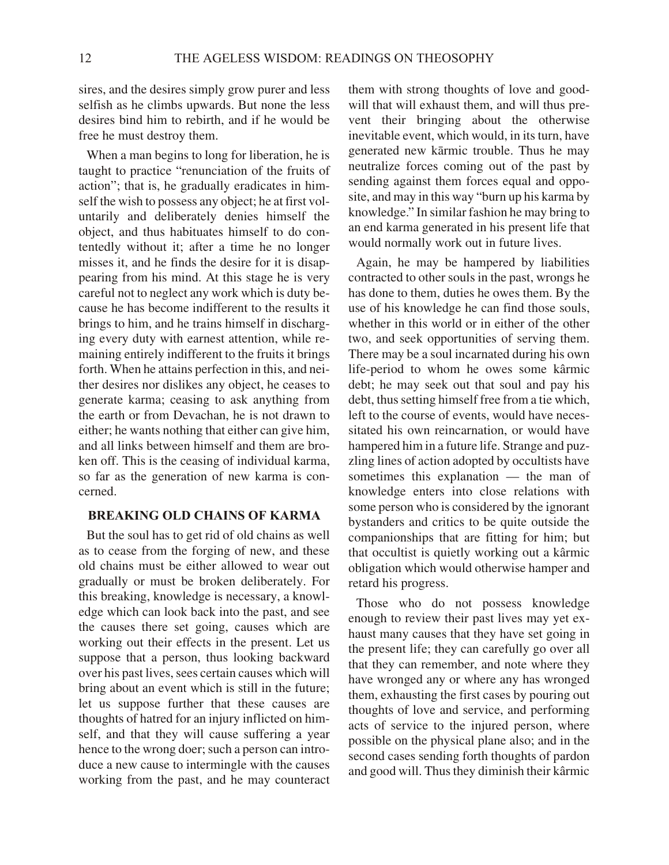sires, and the desires simply grow purer and less selfish as he climbs upwards. But none the less desires bind him to rebirth, and if he would be free he must destroy them.

When a man begins to long for liberation, he is taught to practice "renunciation of the fruits of action"; that is, he gradually eradicates in himself the wish to possess any object; he at first voluntarily and deliberately denies himself the object, and thus habituates himself to do contentedly without it; after a time he no longer misses it, and he finds the desire for it is disappearing from his mind. At this stage he is very careful not to neglect any work which is duty because he has become indifferent to the results it brings to him, and he trains himself in discharging every duty with earnest attention, while remaining entirely indifferent to the fruits it brings forth. When he attains perfection in this, and neither desires nor dislikes any object, he ceases to generate karma; ceasing to ask anything from the earth or from Devachan, he is not drawn to either; he wants nothing that either can give him, and all links between himself and them are broken off. This is the ceasing of individual karma, so far as the generation of new karma is concerned.

#### **BREAKING OLD CHAINS OF KARMA**

But the soul has to get rid of old chains as well as to cease from the forging of new, and these old chains must be either allowed to wear out gradually or must be broken deliberately. For this breaking, knowledge is necessary, a knowledge which can look back into the past, and see the causes there set going, causes which are working out their effects in the present. Let us suppose that a person, thus looking backward over his past lives, sees certain causes which will bring about an event which is still in the future; let us suppose further that these causes are thoughts of hatred for an injury inflicted on himself, and that they will cause suffering a year hence to the wrong doer; such a person can introduce a new cause to intermingle with the causes working from the past, and he may counteract

them with strong thoughts of love and goodwill that will exhaust them, and will thus prevent their bringing about the otherwise inevitable event, which would, in its turn, have generated new kārmic trouble. Thus he may neutralize forces coming out of the past by sending against them forces equal and opposite, and may in this way "burn up his karma by knowledge." In similar fashion he may bring to an end karma generated in his present life that would normally work out in future lives.

Again, he may be hampered by liabilities contracted to other souls in the past, wrongs he has done to them, duties he owes them. By the use of his knowledge he can find those souls, whether in this world or in either of the other two, and seek opportunities of serving them. There may be a soul incarnated during his own life-period to whom he owes some kârmic debt; he may seek out that soul and pay his debt, thus setting himself free from a tie which, left to the course of events, would have necessitated his own reincarnation, or would have hampered him in a future life. Strange and puzzling lines of action adopted by occultists have sometimes this explanation — the man of knowledge enters into close relations with some person who is considered by the ignorant by standers and critics to be quite outside the companionships that are fitting for him; but that occultist is quietly working out a kârmic obligation which would otherwise hamper and retard his progress.

Those who do not possess knowledge enough to review their past lives may yet exhaust many causes that they have set going in the present life; they can carefully go over all that they can remember, and note where they have wronged any or where any has wronged them, exhausting the first cases by pouring out thoughts of love and service, and performing acts of service to the injured person, where possible on the physical plane also; and in the second cases sending forth thoughts of pardon and good will. Thus they diminish their kârmic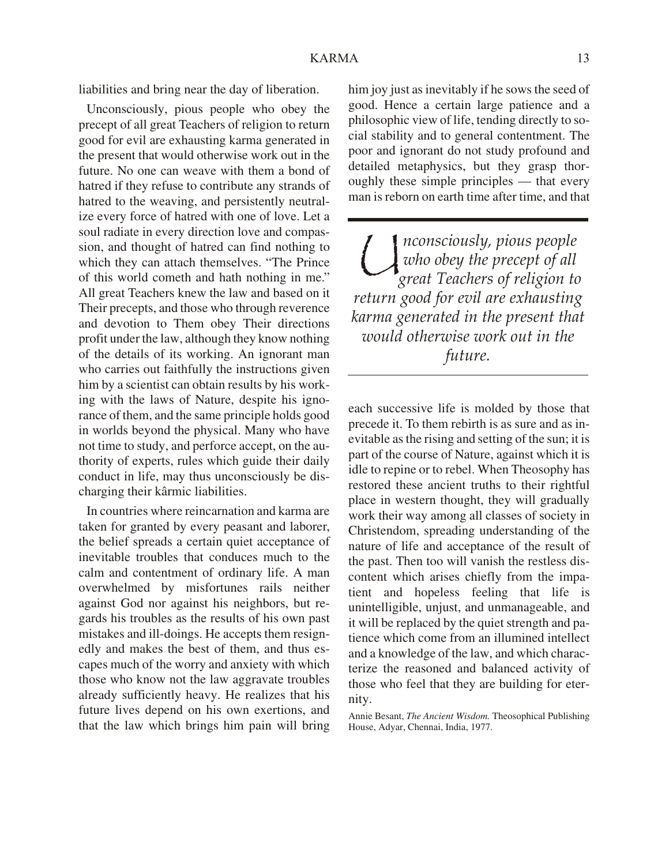liabilities and bring near the day of liberation.

Unconsciously, pious people who obey the precept of all great Teachers of religion to return good for evil are exhausting karma generated in the present that would otherwise work out in the future. No one can weave with them a bond of hatred if they refuse to contribute any strands of hatred to the weaving, and persistently neutralize every force of hatred with one of love. Let a soul radiate in every direction love and compassion, and thought of hatred can find nothing to which they can attach themselves. "The Prince of this world cometh and hath nothing in me." All great Teachers knew the law and based on it Their precepts, and those who through reverence and devotion to Them obey Their directions profit under the law, although they know nothing of the details of its working. An ignorant man who carries out faithfully the instructions given him by a scientist can obtain results by his working with the laws of Nature, despite his ignorance of them, and the same principle holds good in worlds beyond the physical. Many who have not time to study, and perforce accept, on the authority of experts, rules which guide their daily conduct in life, may thus unconsciously be discharging their kârmic liabilities.

In countries where reincarnation and karma are taken for granted by every peasant and laborer, the belief spreads a certain quiet acceptance of inevitable troubles that conduces much to the calm and contentment of ordinary life. A man overwhelmed by misfortunes rails neither against God nor against his neighbors, but regards his troubles as the results of his own past mistakes and ill-doings. He accepts them resignedly and makes the best of them, and thus escapes much of the worry and anxiety with which those who know not the law aggravate troubles al ready sufficiently heavy. He realizes that his future lives depend on his own exertions, and that the law which brings him pain will bring him joy just as inevitably if he sows the seed of good. Hence a certain large patience and a philosophic view of life, tending directly to social stability and to general contentment. The poor and ignorant do not study profound and detailed metaphysics, but they grasp thoroughly these simple principles — that every man is reborn on earth time after time, and that

*n* consciously, pious people<br>who obey the precept of all<br>oreat Teachers of religion to *who obey the pre cept of all great Teach ers of re li gion to re turn good for evil are ex haust ing karma gen er ated in the pres ent that would otherwise work out in the fu ture.*

each successive life is molded by those that precede it. To them rebirth is as sure and as inevitable as the rising and setting of the sun; it is part of the course of Nature, against which it is idle to repine or to rebel. When The osophy has restored these ancient truths to their rightful place in western thought, they will gradually work their way among all classes of society in Christendom, spreading understanding of the nature of life and acceptance of the result of the past. Then too will vanish the restless discontent which arises chiefly from the impatient and hopeless feeling that life is unintelligible, unjust, and unmanageable, and it will be replaced by the quiet strength and patience which come from an illumined intellect and a knowledge of the law, and which characterize the reasoned and balanced activity of those who feel that they are building for eternity.

Annie Besant, *The Ancient Wisdom.* Theosophical Publishing House, Adyar, Chennai, India, 1977.